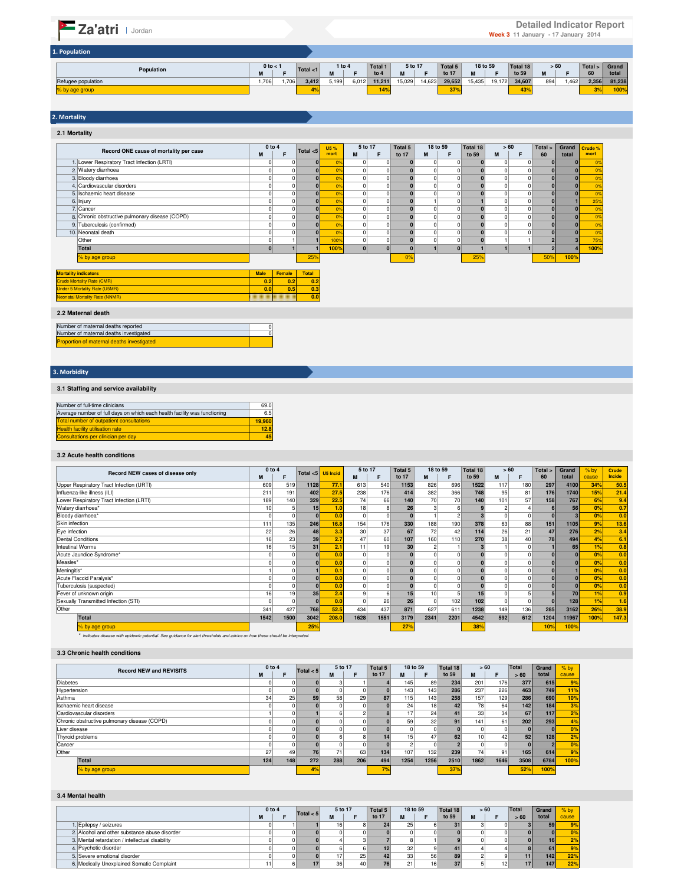#### **M F <sup>1</sup> M F to 4 M F to 17 M F to 59 M F 60 total<br>1,706 1,706 3,412 5,199 6,012 11,211 15,029 14,623 29,652 15,435 19,172 34,607 894 1,462 2,356 81,238<br><b>476 100%** 43% 100% **18 to 59 Total <1 1 to 4 Population Total 1 to 4 5 to 17 Total 5 to 17 0 to < 1 > 60 Total > 60 Grand total Total 18 to 59** Refugee population % by age group 1. Population **Za'atri Detailed Indicator Report Detailed Indicator Report Detailed Indicator Report** Week 3 11 January - 17 January 2014

# 2. Mortality

**2.1 Mortality M** | **F** |  $\cdots$   $\cdots$  | <mark>mort</mark> | M | F | to 17 | M | F | to 59 | M | F 1. 0 0 **0** 0% 0 0 **0** 0 0 **0** 0 0 **0 0** 0% Lower Respiratory Tract Infection (LRTI) 2. 0 0 **0** 0% 0 0 **0** 0 0 **0** 0 0 **0 0** 0% 3. 0 0 **0** 0% 0 0 **0** 0 0 **0** 0 0 **0 0** 0% 4. 0 0 **0** 0% 0 0 **0** 0 0 **0** 0 0 **0 0** 0% Cardiovascular disorders 5. 0 0 **0** 0% 0 0 **0** 0 0 **0** 0 0 **0 0** 0% Ischaemic heart disease 6. 0 0 **0** 0% 0 0 **0** 1 0 **1** 0 0 **0 1** 25% 7. 0 0 **0** 0% 0 0 **0** 0 0 **0** 0 0 **0 0** 0% 8. 0 0 **0** 0% 0 0 **0** 0 0 **0** 0 0 **0 0** 0% 9. 0 0 **0** 0% 0 0 **0** 0 0 **0** 0 0 **0 0** 0% Tuberculosis (confirmed) 10. 0 0 **0** 0% 0 0 **0** 0 0 **0** 0 0 **0 0** 0% 0 1 **1** 100% 0 0 **0** 0 0 **0** 1 1 **2 3** 75% **Total 0 1 1 100% 0 0 0 1 0 1 1 1 2 4 100%** 25% 0% 25% 50% **100%** Male Female Total<br>1991 10:2<br>2001 10:5<br>2001 10:5<br>2001 10:5 **0.2 0.2 0.2 0.0 0.5 0.3** 2. Watery diarrhoea 3. Bloody diarrhoea **Record ONE cause of mortality per case** 0 to 4<br> **0 to 4**<br> **0 to 4**<br> **1 Crude % mort 18 to 59 Total 18 to 59 U5 % > 60 mort Total > 60 Grand total Total 5 to 17 5 to 17 Total <5** Injury Cancer Chronic obstructive pulmonary disease (COPD) 10. Neonatal death Other<br>Total % by age group **Mortality indicators** Crude Mortality Rate (CMR) Under 5 Mortality Rate (U5MR)

**0.0**

 $\frac{0}{0}$ 

#### **2.2 Maternal death**

Neonatal Mortality Rate (NNMR)

| Number of maternal deaths reported                |  |
|---------------------------------------------------|--|
| Number of maternal deaths investigated            |  |
| <b>Proportion of maternal deaths investigated</b> |  |

# 3. Morbidity

## **3.1 Staffing and service availability**

| Number of full-time clinicians                                            | 69.0   |
|---------------------------------------------------------------------------|--------|
| Average number of full days on which each health facility was functioning | 6.5    |
| <b>Total number of outpatient consultations</b>                           | 19.960 |
| <b>Health facility utilisation rate</b>                                   | 12.8   |
| Consultations per clinician per day                                       | 45     |

#### **3.2 Acute health conditions**

| Record NEW cases of disease only         | 0 to 4          |      | Total $<$ 5 | U5 Incid | 5 to 17  |      | Total 5 | 18 to 59        |      | Total 18 | >60 |     | Total > | Grand | $%$ <sub>by</sub> | Crude  |
|------------------------------------------|-----------------|------|-------------|----------|----------|------|---------|-----------------|------|----------|-----|-----|---------|-------|-------------------|--------|
|                                          | M               |      |             |          | M        | Е    | to 17   | М               | F    | to 59    | M   | F   | 60      | total | cause             | Incide |
| Upper Respiratory Tract Infection (URTI) | 609             | 519  | 1128        | 77.7     | 613      | 540  | 1153    | 826             | 696  | 1522     | 117 | 180 | 297     | 4100  | 34%               | 50.5   |
| Influenza-like illness (ILI)             | 211             | 191  | 402         | 27.5     | 238      | 176  | 414     | 382             | 366  | 748      | 95  | 81  | 176     | 1740  | 15%               | 21.4   |
| Lower Respiratory Tract Infection (LRTI) | 189             | 140  | 329         | 22.5     | 74       | 66   | 140     | 70              | 70   | 140      | 101 | 57  | 158     | 767   | 6%                | 9.4    |
| Watery diarrhoea*                        | 10 <sup>1</sup> |      | 15          | 1.0      | 18       |      | 26      |                 |      |          |     |     |         | 56    | 0 <sup>9</sup>    | 0.7    |
| Bloody diarrhoea*                        |                 |      |             | 0.0      | $\Omega$ |      |         |                 |      |          |     |     |         |       | 0%                | 0.0    |
| Skin infection                           | 111             | 135  | 246         | 16.8     | 154      | 176  | 330     | 188             | 190  | 378      | 63  | 88  | 151     | 1105  | 9%                | 13.6   |
| Eye infection                            | 22              | 26   | 48          | 3.3      | 30       | 37   | 67      | 72              | 42   | 114      | 26  | 21  | 47      | 276   | 2%                | 3.4    |
| <b>Dental Conditions</b>                 | 16              | 23   | 39          | 2.7      | 47       | 60   | 107     | 160             | 110  | 270      | 38  | 40  | 78      | 494   | 4%                | 6.1    |
| <b>Intestinal Worms</b>                  | 16              | 15   | 31          | 2.1      | 11       | 19   | 30      |                 |      |          |     |     |         | 65    | 1%                | 0.8    |
| Acute Jaundice Syndrome*                 |                 |      |             | 0.0      | 0        |      |         | $\Omega$        |      |          |     |     |         |       | 0%                | 0.0    |
| Measles*                                 |                 |      |             | 0.0      | $\Omega$ |      |         | $\Omega$        |      |          |     |     |         |       | 0%                | 0.0    |
| Meningitis*                              |                 |      |             | 0.1      |          |      |         |                 |      |          |     |     |         |       | 0%                | 0.0    |
| Acute Flaccid Paralysis*                 |                 |      |             | 0.0      | 0        |      |         | $\Omega$        |      |          |     |     |         |       | 0%                | 0.0    |
| Tuberculosis (suspected)                 |                 |      |             | 0.0      |          |      |         | $\Omega$        |      |          |     |     |         |       | 0%                | 0.0    |
| Fever of unknown origin                  | 16              | 19   | 35          | 2.4      |          |      | 15      | 10 <sup>1</sup> |      | 15       |     |     |         | 70    | 1%                | 0.9    |
| Sexually Transmitted Infection (STI)     |                 |      |             | 0.0      | $\Omega$ | 26   | 26      | $\Omega$        | 102  | 102      |     |     |         | 128   | 1%                | 1.6    |
| Other                                    | 341             | 427  | 768         | 52.5     | 434      | 437  | 871     | 627             | 611  | 1238     | 149 | 136 | 285     | 3162  | 26%               | 38.9   |
| Total                                    | 1542            | 1500 | 3042        | 208.0    | 1628     | 1551 | 3179    | 2341            | 2201 | 4542     | 592 | 612 | 1204    | 11967 | 100%              | 147.3  |
| % by age group                           |                 |      | 25%         |          |          |      | 27%     |                 |      | 38%      |     |     | 10%     | 100%  |                   |        |

\* indicates disease with epidemic potential. See guidance for alert thresholds and advice on how these should be interpreted.

## **3.3 Chronic health conditions**

| <b>Record NEW and REVISITS</b>               | $0$ to $4$ |     | Total $< 5$ | 5 to 17 |          | Total 5 |      | 18 to 59 | Total 18 |                 | > 60 | Total | Grand | $%$ by |
|----------------------------------------------|------------|-----|-------------|---------|----------|---------|------|----------|----------|-----------------|------|-------|-------|--------|
|                                              | м          |     |             | M       |          | to 17   | M    |          | to 59    | М               |      | > 60  | total | cause  |
| <b>Diabetes</b>                              |            |     |             |         |          |         | 145  | 89       | 234      | 201             | 176  | 377   | 615   | 9%     |
| Hypertension                                 |            |     |             |         |          |         | 143  | 143      | 286      | 237             | 226  | 463   | 749   | 11%    |
| Asthma                                       | 34         | 25  | 59          | 58      | 29       | 87      | 115  | 143      | 258      | 157             | 129  | 286   | 690   | 10%    |
| Ischaemic heart disease                      |            |     |             |         | $\Omega$ |         | 24   | 181      | 42       | 78              | 64   | 142   | 184   | 3%     |
| Cardiovascular disorders                     |            |     |             |         |          |         | 17   | 24       |          | 33 <sup>1</sup> | 34   | 67    | 117   | 2%     |
| Chronic obstructive pulmonary disease (COPD) |            |     |             |         |          |         | 59   | 32       | 91       | 141             | 61   | 202   | 293   | 4%     |
| Liver disease                                |            |     |             |         | 0        |         |      |          |          |                 | 0    |       |       | 0%     |
| Thyroid problems                             |            |     |             |         | 8        | 14      | 15   | 47       | 62       | 10 <sup>1</sup> | 42   | 52    | 128   | 2%     |
| Cancer                                       |            |     |             |         |          |         |      |          |          |                 |      |       |       | 0%     |
| Other                                        | 27         | 49  | 76          | 71      | 63       | 134     | 107  | 132      | 239      | 74              | 91   | 165   | 614   | 9%     |
| Total                                        | 124        | 148 | 272         | 288     | 206      | 494     | 1254 | 1256     | 2510     | 1862            | 1646 | 3508  | 6784  | 100%   |
| % by age group                               |            |     | 4%          |         |          | 70.     |      |          | 37%      |                 |      | 52%   | 100%  |        |

### **3.4 Mental health**

|                                                 | $0$ to $4$ | Total $< 5$ |                 | 5 to 17<br>Total 5 |       | 18 to 59        |                 | Total 18 |   | > 60 | Total | Grand |       |
|-------------------------------------------------|------------|-------------|-----------------|--------------------|-------|-----------------|-----------------|----------|---|------|-------|-------|-------|
|                                                 | М          |             | M               |                    | to 17 | м               |                 | to 59    | M |      | > 60  | total | cause |
| 1. Epilepsy / seizures                          |            |             | 16              |                    | 24    | 25              |                 |          |   |      |       | 59    | 9%    |
| 2. Alcohol and other substance abuse disorder   |            |             |                 |                    |       |                 |                 |          |   |      |       |       | 0%    |
| 3. Mental retardation / intellectual disability |            |             |                 |                    |       |                 |                 |          |   |      |       | 16    | 2%    |
| 4. Psychotic disorder                           |            |             |                 |                    |       | 32              |                 |          |   |      |       | 61    | 9%    |
| 5. Severe emotional disorder                    |            |             |                 | 25                 |       | 33 <sup>1</sup> | 56              | 89       |   |      |       | 142   | 22%   |
| 6. Medically Unexplained Somatic Complaint      |            |             | 36 <sup>1</sup> | 40                 |       | 21              | 16 <sub>1</sub> |          |   | 12   |       | 147   | 22%   |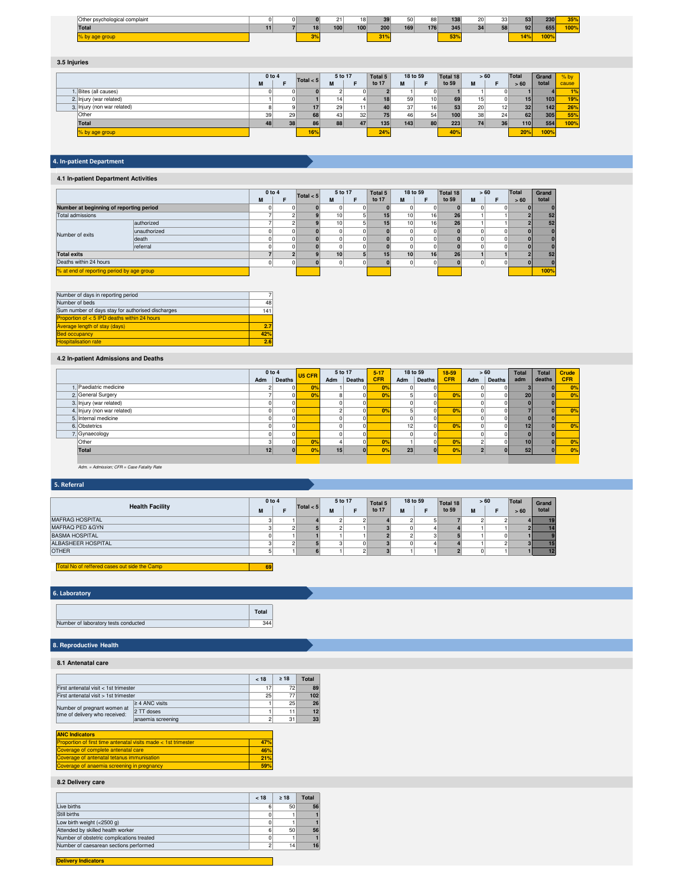| $\sim$<br>r psychological complaint<br>.Other |  |    |     | 18 <sub>1</sub> | 39  | 50  | 88  | 138       | 20 | つつ | 53              | 230  | 35%                              |
|-----------------------------------------------|--|----|-----|-----------------|-----|-----|-----|-----------|----|----|-----------------|------|----------------------------------|
| Total                                         |  | 18 | 100 | 100             | 200 | 169 | 176 | 345       | 21 |    | 92              | 655  | $\overline{\phantom{a}}$<br>7007 |
|                                               |  |    |     |                 |     |     |     | $-1$<br>. |    |    | 14 <sup>°</sup> | 1009 |                                  |

# **3.5 Injuries**

|                             |    | $0$ to $4$ |     | 5 to 17<br>Total $<$ 5 |    | Total 5          |     | 18 to 59<br>Total 18 |       | > 60 |                 | <b>Total</b> | Grand            | $%$ by |
|-----------------------------|----|------------|-----|------------------------|----|------------------|-----|----------------------|-------|------|-----------------|--------------|------------------|--------|
|                             | М  |            |     | M                      |    | to 17            | M   |                      | to 59 | M    |                 | > 60         | total            | cause  |
| 1. Bites (all causes)       |    |            |     |                        |    |                  |     |                      |       |      |                 |              |                  | 1%     |
| 2. Injury (war related)     |    |            |     |                        |    | 18               | 59  | 10 <sup>1</sup>      | 69    | 151  |                 | 15           | 103 <sub>1</sub> | 19%    |
| 3. Injury (non war related) |    |            |     | 29                     | 11 | 40               | 37  | 16 <sub>1</sub>      | 53    | 20   | 12              | 32           | 142              | 26%    |
| Other                       | 39 | 29         | 68  | 43                     | 32 | 75 <sub>1</sub>  | 46  | 54                   | 100   | 38   | 24              | 62           | 305              | 55%    |
| <b>Total</b>                | 48 | 38         | 86  | 88                     | 47 | 135 <sub>1</sub> | 143 | 80                   | 223   | 74   | 36 <sup>1</sup> | <b>110</b>   | 554              | 100%   |
| % by age group              |    |            | 16% |                        |    | 24%              |     |                      | 40%   |      |                 | 20%          | 100%             |        |

# 4. In-patient Department

# **4.1 In-patient Department Activities**

|                                           |              |   | 0 to 4   |             | 5 to 17         |  | Total 5         | 18 to 59        |                 | > 60<br>Total 18 |   | Total | Grand |
|-------------------------------------------|--------------|---|----------|-------------|-----------------|--|-----------------|-----------------|-----------------|------------------|---|-------|-------|
|                                           |              | M |          | Total $< 5$ | M               |  | to 17           | м               | F               | to 59            | M | >60   | total |
| Number at beginning of reporting period   |              |   |          |             |                 |  |                 |                 |                 |                  |   |       |       |
| Total admissions                          |              |   |          |             | 10 <sub>1</sub> |  | 15 <sup>1</sup> | 10 <sup>1</sup> | 16 <sub>1</sub> | 26               |   |       | 52    |
|                                           | authorized   |   |          |             | 10 <sub>1</sub> |  | 15 <sup>1</sup> | 10 <sup>1</sup> | 16              | 26               |   |       | 52    |
| Number of exits                           | unauthorized |   | 0        |             |                 |  |                 |                 |                 |                  |   |       |       |
|                                           | death        |   |          |             |                 |  |                 |                 |                 |                  |   |       |       |
|                                           | referral     |   |          |             |                 |  |                 |                 |                 |                  |   |       |       |
| <b>Total exits</b>                        |              |   |          |             | 10 <sup>1</sup> |  | 15              | 10 <sup>1</sup> | 16              | 26               |   |       | 52    |
| Deaths within 24 hours                    |              |   | $\Omega$ |             |                 |  |                 |                 |                 |                  |   |       |       |
| % at end of reporting period by age group |              |   |          |             |                 |  |                 |                 |                 |                  |   |       | 100%  |

| Number of days in reporting period                |     |
|---------------------------------------------------|-----|
| Number of beds                                    | 48  |
| Sum number of days stay for authorised discharges | 141 |
| Proportion of $< 5$ IPD deaths within 24 hours    |     |
| <b>Average length of stay (days)</b>              | 2.7 |
| <b>Bed occupancy</b>                              | 42% |
| <b>Hospitalisation rate</b>                       | 2.6 |

# **4.2 In-patient Admissions and Deaths**

|                             |     | $0$ to $4$ | U5 CFR         |          | 5 to 17 | $5 - 17$   |     | 18 to 59 | 18-59          |     | > 60   | <b>Total</b>    | <b>Total</b> | Crude      |
|-----------------------------|-----|------------|----------------|----------|---------|------------|-----|----------|----------------|-----|--------|-----------------|--------------|------------|
|                             | Adm | Deaths     |                | Adm      | Deaths  | <b>CFR</b> | Adm | Deaths   | <b>CFR</b>     | Adm | Deaths | adm             | deaths       | <b>CFR</b> |
| Paediatric medicine         |     |            | 0%             |          |         |            |     |          |                |     |        |                 | ΩI           | 0%         |
| 2. General Surgery          |     |            | 0 <sup>9</sup> | 8        |         |            |     | $\Omega$ | O <sub>2</sub> |     |        | 20              | 0I           | 0%         |
| 3. Injury (war related)     |     |            |                |          |         |            |     |          |                |     |        |                 |              |            |
| 4. Injury (non war related) |     |            |                |          |         |            |     | $\Omega$ | 0 <sup>9</sup> |     |        |                 | nι           | 0%         |
| 5. Internal medicine        |     |            |                |          |         |            |     |          |                |     |        |                 |              |            |
| 6. Obstetrics               |     |            |                | $\Omega$ |         |            | 12  | $\Omega$ | 0%             |     |        | 12 <sub>1</sub> | ΩI           | 0%         |
| 7. Gynaecology              |     |            |                |          |         |            |     |          |                |     |        |                 |              |            |
| Other                       |     |            | 0%             |          |         | no         |     | $\Omega$ | 0 <sup>9</sup> |     |        | 10              | ΩI           | 0%         |
| Total                       | 12  |            | 0%             | 15       |         |            | 23  | nl       | 0%             |     |        | 52              |              | 0%         |
|                             |     |            |                |          |         |            |     |          |                |     |        |                 |              |            |

Adm. = Admission; CFR = Case Fatality Rate

## 5. Referral

|                        | 0 to 4 |  | Total $< 5$ |   | 5 to 17 | Total 5 |   | 18 to 59 | Total 18 |   | > 60 | Total | Grand |
|------------------------|--------|--|-------------|---|---------|---------|---|----------|----------|---|------|-------|-------|
| <b>Health Facility</b> | IVI    |  |             | M |         | to 17   | M |          | to 59    | M | Е    | >60   | total |
| <b>MAFRAG HOSPITAL</b> |        |  |             |   |         |         |   |          |          |   |      |       | 19    |
| MAFRAQ PED & GYN       |        |  |             |   |         |         |   |          |          |   |      |       | 14    |
| <b>BASMA HOSPITAL</b>  |        |  |             |   |         |         |   |          |          |   |      |       |       |
| ALBASHEER HOSPITAL     |        |  |             |   |         |         |   |          |          |   |      |       | 15    |
| <b>OTHER</b>           |        |  |             |   |         |         |   |          |          |   |      |       | 12    |

#### **69** Total No of reffered of

# 6. Laboratory

|                                      | Total |
|--------------------------------------|-------|
| Number of laboratory tests conducted | 344   |

# **8. Reproductive Health**

# **8.1 Antenatal care**

|                                                               |                     | < 18 | >18 | Total |
|---------------------------------------------------------------|---------------------|------|-----|-------|
| First antenatal visit < 1st trimester                         | 17                  | 72   | 89  |       |
| First antenatal visit > 1st trimester                         | 25                  | 77   | 102 |       |
| Number of pregnant women at<br>time of delivery who received: | $\geq$ 4 ANC visits |      | 25  | 26    |
|                                                               | 2 TT doses          |      |     | 12    |
|                                                               | anaemia screening   |      | 31  | 33    |

# **ANC Indicators**

| Proportion of first time antenatal visits made < 1st trimester | 47% |
|----------------------------------------------------------------|-----|
| Coverage of complete antenatal care                            | 46% |
| Coverage of antenatal tetanus immunisation                     | 21% |
| Coverage of anaemia screening in pregnancy                     | 59% |
|                                                                |     |

# **8.2 Delivery care**

|                                           | < 18 | $>18$ | Total |
|-------------------------------------------|------|-------|-------|
| Live births                               | 6    | 50    | 56    |
| Still births                              |      |       |       |
| Low birth weight (<2500 g)                |      |       |       |
| Attended by skilled health worker         |      | 50    | 56    |
| Number of obstetric complications treated |      |       |       |
| Number of caesarean sections performed    |      | 14    | 16    |
|                                           |      |       |       |

Ш